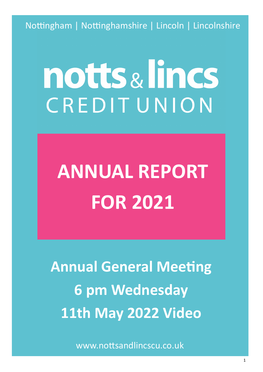Nottingham | Nottinghamshire | Lincoln | Lincolnshire

# notts & lincs CREDITUNION

# **ANNUAL REPORT FOR 2021**

**Annual General Meeting 6 pm Wednesday 11th May 2022 Video** 

www.nottsandlincscu.co.uk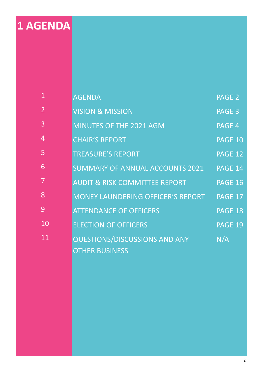# **1 AGENDA**

| $\overline{1}$ | <b>AGENDA</b>                            | PAGE 2         |
|----------------|------------------------------------------|----------------|
| $\overline{2}$ | <b>VISION &amp; MISSION</b>              | PAGE 3         |
| 3              | <b>MINUTES OF THE 2021 AGM</b>           | PAGE 4         |
| 4              | <b>CHAIR'S REPORT</b>                    | PAGE 10        |
| 5              | <b>TREASURE'S REPORT</b>                 | PAGE 12        |
| 6              | SUMMARY OF ANNUAL ACCOUNTS 2021          | PAGE 14        |
| $\overline{7}$ | <b>AUDIT &amp; RISK COMMITTEE REPORT</b> | <b>PAGE 16</b> |
| 8              | MONEY LAUNDERING OFFICER'S REPORT        | PAGE 17        |
| 9              | <b>ATTENDANCE OF OFFICERS</b>            | <b>PAGE 18</b> |
| 10             | <b>ELECTION OF OFFICERS</b>              | PAGE 19        |
| 11             | <b>QUESTIONS/DISCUSSIONS AND ANY</b>     | N/A            |
|                | <b>OTHER BUSINESS</b>                    |                |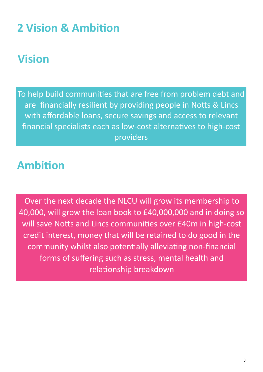## **2 Vision & Ambition**

### **Vision**

To help build communities that are free from problem debt and are financially resilient by providing people in Notts & Lincs with affordable loans, secure savings and access to relevant financial specialists each as low-cost alternatives to high-cost providers

### **Ambition**

Over the next decade the NLCU will grow its membership to 40,000, will grow the loan book to £40,000,000 and in doing so will save Notts and Lincs communities over £40m in high-cost credit interest, money that will be retained to do good in the community whilst also potentially alleviating non-financial forms of suffering such as stress, mental health and relationship breakdown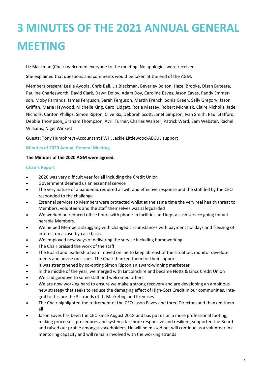Liz Blackman (Chair) welcomed everyone to the meeting. No apologies were received.

She explained that questions and comments would be taken at the end of the AGM.

Members present: Leslie Ayoola, Chris Ball, Liz Blackman, Beverley Bolton, Hazel Brooke, Disan Buteera, Pauline Charlesworth, David Clark, Dawn Dolby, Adam Doy, Caroline Eaves, Jason Eaves, Paddy Emmerson, Moby Farrands, James Ferguson, Sarah Ferguson, Martin French, Sonia Green, Sally Gregory, Jason Griffith, Marie Haywood, Michelle King, Carol Lidgett, Rosie Massey, Robert Michalak, Claire Nicholls, Jade Nicholls, Carlton Phillips, Simon Ripton, Clive Rix, Deborah Scott, Janet Simpson, Ivan Smith, Paul Stafford, Debbie Thompson, Graham Thompson, Avril Turner, Charles Walster, Patrick Ward, Sam Webster, Rachel Williams, Nigel Winkett.

Guests: Tony Humphreys-Accountant PWH, Jackie Littlewood-ABCUL support

#### **Minutes of 2020 Annual General Meeting**

#### **The Minutes of the 2020 AGM were agreed.**

#### **Chair's Report**

- 2020 was very difficult year for all including the Credit Union
- Government deemed us an essential service
- The very nature of a pandemic required a swift and effective response and the staff led by the CEO responded to the challenge
- Essential services to Members were protected whilst at the same time the very real health threat to Members, volunteers and the staff themselves was safeguarded
- We worked on reduced office hours with phone-in facilities and kept a cash service going for vulnerable Members.
- We helped Members struggling with changed circumstances with payment holidays and freezing of interest on a case-by-case basis.
- We employed new ways of delivering the service including homeworking
- The Chair praised the work of the staff
- The Board and leadership team moved online to keep abreast of the situation, monitor developments and advise on issues. The Chair thanked them for their support
- It was strengthened by co-opting Simon Ripton an award-winning marketeer
- In the middle of the year, we merged with Lincolnshire and became Notts & Lincs Credit Union
- We said goodbye to some staff and welcomed others
- We are now working hard to ensure we make a strong recovery and are developing an ambitious new strategy that seeks to reduce the damaging effect of High-Cost Credit in our communities. Integral to this are the 3 strands of IT, Marketing and Premises
- The Chair highlighted the retirement of the CEO Jason Eaves and three Directors and thanked them all
- Jason Eaves has been the CEO since August 2018 and has put us on a more professional footing, making processes, procedures and systems far more responsive and resilient, supported the Board and raised our profile amongst stakeholders, He will be missed but will continue as a volunteer in a mentoring capacity and will remain involved with the working strands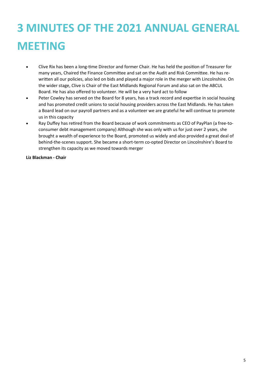- Clive Rix has been a long-time Director and former Chair. He has held the position of Treasurer for many years, Chaired the Finance Committee and sat on the Audit and Risk Committee. He has rewritten all our policies, also led on bids and played a major role in the merger with Lincolnshire. On the wider stage, Clive is Chair of the East Midlands Regional Forum and also sat on the ABCUL Board. He has also offered to volunteer. He will be a very hard act to follow
- Peter Cowley has served on the Board for 8 years, has a track record and expertise in social housing and has promoted credit unions to social housing providers across the East Midlands. He has taken a Board lead on our payroll partners and as a volunteer we are grateful he will continue to promote us in this capacity
- Ray Duffey has retired from the Board because of work commitments as CEO of PayPlan (a free-toconsumer debt management company) Although she was only with us for just over 2 years, she brought a wealth of experience to the Board, promoted us widely and also provided a great deal of behind-the-scenes support. She became a short-term co-opted Director on Lincolnshire's Board to strengthen its capacity as we moved towards merger

**Liz Blackman - Chair**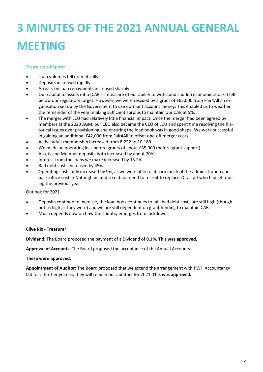#### **Treasurer's Report:**

- Loan volumes fell dramatically
- Deposits increased rapidly
- Arrears on loan repayments increased sharply
- Our capital to assets ratio (CAR a measure of our ability to withstand sudden economic shocks) fell below our regulatory target. However, we were rescued by a grant of £65,000 from Fair4All an organisation set up by the Government to use dormant account money. This enabled us to weather the remainder of the year, making sufficient surplus to maintain our CAR at 5%,
- The merger with LCU had relatively little financial impact. Once the merger had been agreed by members at the 2020 AGM, our CEO also became the CEO of LCU and spent time resolving the historical issues over provisioning and ensuring the loan book was in good shape. We were successful in gaining an additional £42,000 from Fair4All to offset one-off merger costs
- Active adult membership increased from 8,222 to 10,180
- We made an operating loss before grants of about £35,000 (before grant support)
- Assets and Member deposits both increased by about 70%
- Interest from the loans we make increased by 15.2%
- Bad debt costs increased by 45%
- Operating costs only increased by 9%, as we were able to absorb much of the administration and back-office cost in Nottingham and so did not need to recruit to replace LCU staff who had left during the previous year

#### Outlook for 2021

- Deposits continue to increase, the loan book continues to fall, bad debt costs are still high (though not as high as they were) and we are still dependent on grant funding to maintain CAR.
- Much depends now on how the country emerges from lockdown

#### **Clive Rix - Treasurer**

**Dividend:** The Board proposed the payment of a Dividend of 0.1%. **This was approved.**

**Approval of Accounts:** The Board proposed the acceptance of the Annual Accounts.

#### **These were approved.**

**Appointment of Auditor:** The Board proposed that we extend the arrangement with PWH Accountancy Ltd for a further year, so they will remain our auditors for 2021. **This was approved.**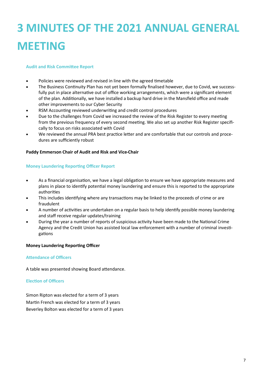#### **Audit and Risk Committee Report**

- Policies were reviewed and revised in line with the agreed timetable
- The Business Continuity Plan has not yet been formally finalised however, due to Covid, we successfully put in place alternative out of office working arrangements, which were a significant element of the plan. Additionally, we have installed a backup hard drive in the Mansfield office and made other improvements to our Cyber Security
- RSM Accounting reviewed underwriting and credit control procedures
- Due to the challenges from Covid we increased the review of the Risk Register to every meeting from the previous frequency of every second meeting. We also set up another Risk Register specifically to focus on risks associated with Covid
- We reviewed the annual PRA best practice letter and are comfortable that our controls and procedures are sufficiently robust

#### **Paddy Emmerson Chair of Audit and Risk and Vice-Chair**

#### **Money Laundering Reporting Officer Report**

- As a financial organisation, we have a legal obligation to ensure we have appropriate measures and plans in place to identify potential money laundering and ensure this is reported to the appropriate authorities
- This includes identifying where any transactions may be linked to the proceeds of crime or are fraudulent
- A number of activities are undertaken on a regular basis to help identify possible money laundering and staff receive regular updates/training
- During the year a number of reports of suspicious activity have been made to the National Crime Agency and the Credit Union has assisted local law enforcement with a number of criminal investigations

#### **Money Laundering Reporting Officer**

#### **Attendance of Officers**

A table was presented showing Board attendance.

#### **Election of Officers**

Simon Ripton was elected for a term of 3 years Martin French was elected for a term of 3 years Beverley Bolton was elected for a term of 3 years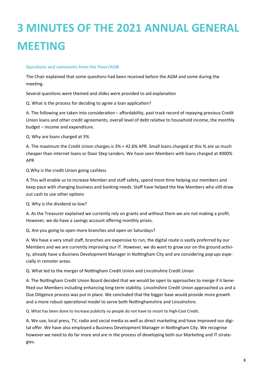#### **Questions and comments from the Floor/AOB**

The Chair explained that some questions had been received before the AGM and some during the meeting.

Several questions were themed and slides were provided to aid explanation

Q. What is the process for deciding to agree a loan application?

A. The following are taken into consideration – affordability, past track record of repaying previous Credit Union loans and other credit agreements, overall level of debt relative to household income, the monthly budget – income and expenditure.

Q. Why are loans charged at 3%

A. The maximum the Credit Union charges is 3% = 42.6% APR. Small loans charged at this % are so much cheaper than internet loans or Door Step Lenders. We have seen Members with loans charged at 4000% APR

Q Why is the credit Union going cashless

A This will enable us to increase Member and staff safety, spend more time helping our members and keep pace with changing business and banking needs. Staff have helped the few Members who still draw out cash to use other options

Q. Why is the dividend so low?

A. As the Treasurer explained we currently rely on grants and without them we are not making a profit. However, we do have a savings account offering monthly prizes.

Q. Are you going to open more branches and open on Saturdays?

A. We have a very small staff, branches are expensive to run, the digital route is vastly preferred by our Members and we are currently improving our IT. However, we do want to grow our on the ground activity, already have a Business Development Manager in Nottingham City and are considering pop-ups especially in remoter areas.

Q. What led to the merger of Nottingham Credit Union and Lincolnshire Credit Union

A. The Nottingham Credit Union Board decided that we would be open to approaches to merge if it benefited our Members including enhancing long-term stability. Lincolnshire Credit Union approached us and a Due Diligence process was put in place. We concluded that the bigger base would provide more growth and a more robust operational model to serve both Nottinghamshire and Lincolnshire.

Q. What has been done to increase publicity so people do not have to resort to High-Cost Credit.

A. We use, local press, TV, radio and social media as well as direct marketing and have improved our digital offer. We have also employed a Business Development Manager in Nottingham City. We recognise however we need to do far more and are in the process of developing both our Marketing and IT strategies.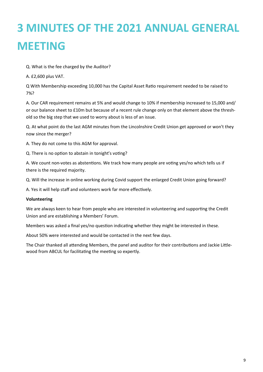#### Q. What is the fee charged by the Auditor?

A. £2,600 plus VAT.

Q With Membership exceeding 10,000 has the Capital Asset Ratio requirement needed to be raised to 7%?

A. Our CAR requirement remains at 5% and would change to 10% if membership increased to 15,000 and/ or our balance sheet to £10m but because of a recent rule change only on that element above the threshold so the big step that we used to worry about is less of an issue.

Q. At what point do the last AGM minutes from the Lincolnshire Credit Union get approved or won't they now since the merger?

A. They do not come to this AGM for approval.

Q. There is no option to abstain in tonight's voting?

A. We count non-votes as abstentions. We track how many people are voting yes/no which tells us if there is the required majority.

Q. Will the increase in online working during Covid support the enlarged Credit Union going forward?

A. Yes it will help staff and volunteers work far more effectively.

#### **Volunteering**

We are always keen to hear from people who are interested in volunteering and supporting the Credit Union and are establishing a Members' Forum.

Members was asked a final yes/no question indicating whether they might be interested in these.

About 50% were interested and would be contacted in the next few days.

The Chair thanked all attending Members, the panel and auditor for their contributions and Jackie Littlewood from ABCUL for facilitating the meeting so expertly.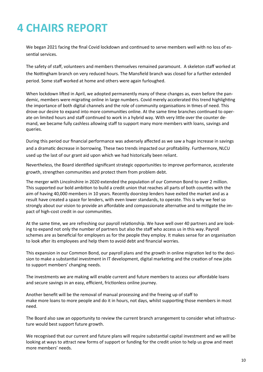## **4 CHAIRS REPORT**

We began 2021 facing the final Covid lockdown and continued to serve members well with no loss of essential services.

The safety of staff, volunteers and members themselves remained paramount. A skeleton staff worked at the Nottingham branch on very reduced hours. The Mansfield branch was closed for a further extended period. Some staff worked at home and others were again furloughed.

When lockdown lifted in April, we adopted permanently many of these changes as, even before the pandemic, members were migrating online in large numbers. Covid merely accelerated this trend highlighting the importance of both digital channels and the role of community organisations in times of need. This drove our desire to expand into more communities online. At the same time branches continued to operate on limited hours and staff continued to work in a hybrid way. With very little over the counter demand, we became fully cashless allowing staff to support many more members with loans, savings and queries.

During this period our financial performance was adversely affected as we saw a huge increase in savings and a dramatic decrease in borrowing. These two trends impacted our profitability. Furthermore, NLCU used up the last of our grant aid upon which we had historically been reliant.

Nevertheless, the Board identified significant strategic opportunities to improve performance, accelerate growth, strengthen communities and protect them from problem debt.

The merger with Lincolnshire in 2020 extended the population of our Common Bond to over 2 million. This supported our bold ambition to build a credit union that reaches all parts of both counties with the aim of having 40,000 members in 10 years. Recently doorstep lenders have exited the market and as a result have created a space for lenders, with even lower standards, to operate. This is why we feel so strongly about our vision to provide an affordable and compassionate alternative and to mitigate the impact of high-cost credit in our communities.

At the same time, we are refreshing our payroll relationship. We have well over 40 partners and are looking to expand not only the number of partners but also the staff who access us in this way. Payroll schemes are as beneficial for employers as for the people they employ. It makes sense for an organisation to look after its employees and help them to avoid debt and financial worries.

This expansion in our Common Bond, our payroll plans and the growth in online migration led to the decision to make a substantial investment in IT development, digital marketing and the creation of new jobs to support members' changing needs.

The investments we are making will enable current and future members to access our affordable loans and secure savings in an easy, efficient, frictionless online journey.

Another benefit will be the removal of manual processing and the freeing up of staff to make more loans to more people and do it in hours, not days, whilst supporting those members in most need.

The Board also saw an opportunity to review the current branch arrangement to consider what infrastructure would best support future growth.

We recognised that our current and future plans will require substantial capital investment and we will be looking at ways to attract new forms of support or funding for the credit union to help us grow and meet more members' needs.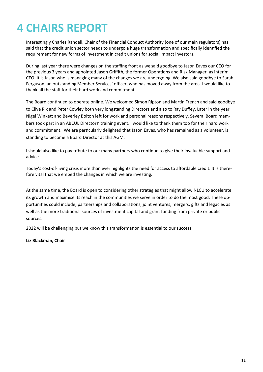### **4 CHAIRS REPORT**

Interestingly Charles Randell, Chair of the Financial Conduct Authority (one of our main regulators) has said that the credit union sector needs to undergo a huge transformation and specifically identified the requirement for new forms of investment in credit unions for social impact investors.

During last year there were changes on the staffing front as we said goodbye to Jason Eaves our CEO for the previous 3 years and appointed Jason Griffith, the former Operations and Risk Manager, as interim CEO. It is Jason who is managing many of the changes we are undergoing. We also said goodbye to Sarah Ferguson, an outstanding Member Services' officer, who has moved away from the area. I would like to thank all the staff for their hard work and commitment.

The Board continued to operate online. We welcomed Simon Ripton and Martin French and said goodbye to Clive Rix and Peter Cowley both very longstanding Directors and also to Ray Duffey. Later in the year Nigel Winkett and Beverley Bolton left for work and personal reasons respectively. Several Board members took part in an ABCUL Directors' training event. I would like to thank them too for their hard work and commitment. We are particularly delighted that Jason Eaves, who has remained as a volunteer, is standing to become a Board Director at this AGM.

I should also like to pay tribute to our many partners who continue to give their invaluable support and advice.

Today's cost-of-living crisis more than ever highlights the need for access to affordable credit. It is therefore vital that we embed the changes in which we are investing.

At the same time, the Board is open to considering other strategies that might allow NLCU to accelerate its growth and maximise its reach in the communities we serve in order to do the most good. These opportunities could include, partnerships and collaborations, joint ventures, mergers, gifts and legacies as well as the more traditional sources of investment capital and grant funding from private or public sources.

2022 will be challenging but we know this transformation is essential to our success.

#### **Liz Blackman, Chair**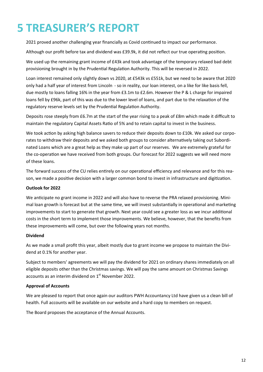## **5 TREASURER'S REPORT**

2021 proved another challenging year financially as Covid continued to impact our performance.

Although our profit before tax and dividend was £39.9k, it did not reflect our true operating position.

We used up the remaining grant income of £43k and took advantage of the temporary relaxed bad debt provisioning brought in by the Prudential Regulation Authority. This will be reversed in 2022.

Loan interest remained only slightly down vs 2020, at £543k vs £551k, but we need to be aware that 2020 only had a half year of interest from Lincoln - so in reality, our loan interest, on a like for like basis fell, due mostly to loans falling 16% in the year from £3.1m to £2.6m. However the P & L charge for impaired loans fell by £96k, part of this was due to the lower level of loans, and part due to the relaxation of the regulatory reserve levels set by the Prudential Regulation Authority.

Deposits rose steeply from £6.7m at the start of the year rising to a peak of £8m which made it difficult to maintain the regulatory Capital Assets Ratio of 5% and to retain capital to invest in the business.

We took action by asking high balance savers to reduce their deposits down to £10k. We asked our corporates to withdraw their deposits and we asked both groups to consider alternatively taking out Subordinated Loans which are a great help as they make up part of our reserves. We are extremely grateful for the co-operation we have received from both groups. Our forecast for 2022 suggests we will need more of these loans.

The forward success of the CU relies entirely on our operational efficiency and relevance and for this reason, we made a positive decision with a larger common bond to invest in infrastructure and digitization.

#### **Outlook for 2022**

We anticipate no grant income in 2022 and will also have to reverse the PRA relaxed provisioning. Minimal loan growth is forecast but at the same time, we will invest substantially in operational and marketing improvements to start to generate that growth. Next year could see a greater loss as we incur additional costs in the short term to implement those improvements. We believe, however, that the benefits from these improvements will come, but over the following years not months.

#### **Dividend**

As we made a small profit this year, albeit mostly due to grant income we propose to maintain the Dividend at 0.1% for another year.

Subject to members' agreements we will pay the dividend for 2021 on ordinary shares immediately on all eligible deposits other than the Christmas savings. We will pay the same amount on Christmas Savings accounts as an interim dividend on 1<sup>st</sup> November 2022.

#### **Approval of Accounts**

We are pleased to report that once again our auditors PWH Accountancy Ltd have given us a clean bill of health. Full accounts will be available on our website and a hard copy to members on request.

The Board proposes the acceptance of the Annual Accounts.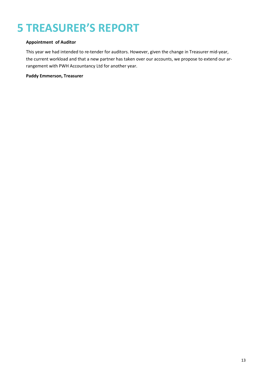# **5 TREASURER'S REPORT**

#### **Appointment of Auditor**

This year we had intended to re-tender for auditors. However, given the change in Treasurer mid-year, the current workload and that a new partner has taken over our accounts, we propose to extend our arrangement with PWH Accountancy Ltd for another year.

#### **Paddy Emmerson, Treasurer**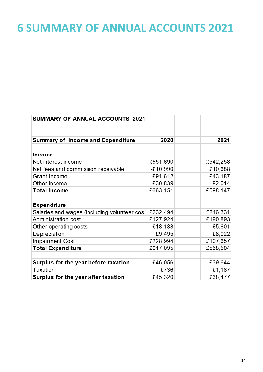### **6 SUMMARY OF ANNUAL ACCOUNTS 2021**

| <b>SUMMARY OF ANNUAL ACCOUNTS 2021</b>      |            |           |
|---------------------------------------------|------------|-----------|
|                                             |            |           |
|                                             |            |           |
| Summary of Income and Expenditure           | 2020       | 2021      |
|                                             |            |           |
| <b>Income</b>                               |            |           |
| Net interest income                         | £551,690   | £542,258  |
| Net fees and commission receivable          | $-£10,990$ | £10,688   |
| Grant Income                                | £91,612    | £43,187   |
| Other income                                | £30,839    | $-E2,014$ |
| <b>Total income</b>                         | £663,151   | £598,147  |
|                                             |            |           |
| <b>Expenditure</b>                          |            |           |
| Salaries and wages (including volunteer cos | £232,494   | £246,331  |
| Administration cost                         | £127,924   | £190,893  |
| Other operating costs                       | £18,188    | £5,601    |
| Depreciation                                | £9,495     | £8,022    |
| <b>Impairment Cost</b>                      | £228,994   | £107,657  |
| <b>Total Expenditure</b>                    | £617,095   | £558,504  |
|                                             |            |           |
| Surplus for the year before taxation        | £46,056    | £39,644   |
| Taxation                                    | £736       | £1,167    |
| Surplus for the year after taxation         | £45,320    | £38,477   |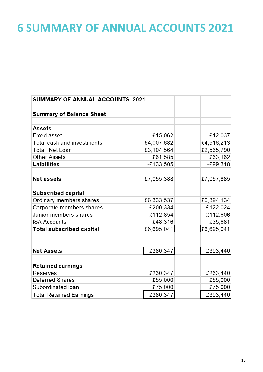### **6 SUMMARY OF ANNUAL ACCOUNTS 2021**

| <b>SUMMARY OF ANNUAL ACCOUNTS 2021</b> |             |            |
|----------------------------------------|-------------|------------|
|                                        |             |            |
| <b>Summary of Balance Sheet</b>        |             |            |
|                                        |             |            |
| <b>Assets</b>                          |             |            |
| <b>Fixed asset</b>                     | £15,062     | £12,037    |
| Total cash and investments             | £4,007,682  | £4,516,213 |
| Total Net Loan                         | £3,104,564  | £2,565,790 |
| <b>Other Assets</b>                    | £61,585     | £63,162    |
| Laibilities                            | $-£133,505$ | $-E99,318$ |
| <b>Net assets</b>                      | £7,055,388  | £7,057,885 |
| Subscribed capital                     |             |            |
| Ordinary members shares                | £6,333,537  | £6,394,134 |
| Corporate members shares               | £200,334    | £122,024   |
| Junior members shares                  | £112,854    | £112,606   |
| <b>ISA Accounts</b>                    | £48,316     | £35,681    |
| <b>Total subscribed capital</b>        | £6,695,041  | £6,695,041 |
|                                        |             |            |
| <b>Net Assets</b>                      | £360,347    | £393,440   |
| <b>Retained earnings</b>               |             |            |
| Reserves                               | £230,347    | £263,440   |
| Deferred Shares                        | £55,000     | £55,000    |
| Subordinated loan                      | £75,000     | £75,000    |
| <b>Total Retained Earnings</b>         | £360,347    | £393,440   |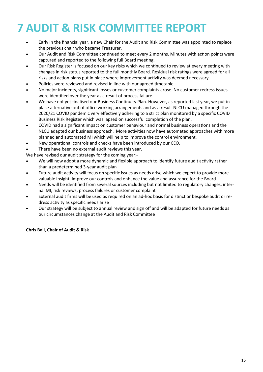## **7 AUDIT & RISK COMMITTEE REPORT**

- Early in the financial year, a new Chair for the Audit and Risk Committee was appointed to replace the previous chair who became Treasurer.
- Our Audit and Risk Committee continued to meet every 2 months. Minutes with action points were captured and reported to the following full Board meeting.
- Our Risk Register is focused on our key risks which we continued to review at every meeting with changes in risk status reported to the full monthly Board. Residual risk ratings were agreed for all risks and action plans put in place where improvement activity was deemed necessary.
- Policies were reviewed and revised in line with our agreed timetable.
- No major incidents, significant losses or customer complaints arose. No customer redress issues were identified over the year as a result of process failure.
- We have not yet finalised our Business Continuity Plan. However, as reported last year, we put in place alternative out of office working arrangements and as a result NLCU managed through the 2020/21 COVID pandemic very effectively adhering to a strict plan monitored by a specific COVID Business Risk Register which was lapsed on successful completion of the plan.
- COVID had a significant impact on customer behaviour and normal business operations and the NLCU adapted our business approach. More activities now have automated approaches with more planned and automated MI which will help to improve the control environment.
- New operational controls and checks have been introduced by our CEO.
- There have been no external audit reviews this year.

We have revised our audit strategy for the coming year:-

- We will now adopt a more dynamic and flexible approach to identify future audit activity rather than a predetermined 3-year audit plan
- Future audit activity will focus on specific issues as needs arise which we expect to provide more valuable insight, improve our controls and enhance the value and assurance for the Board
- Needs will be identified from several sources including but not limited to regulatory changes, internal MI, risk reviews, process failures or customer complaint
- External audit firms will be used as required on an ad-hoc basis for distinct or bespoke audit or redress activity as specific needs arise
- Our strategy will be subject to annual review and sign off and will be adapted for future needs as our circumstances change at the Audit and Risk Committee

#### **Chris Ball, Chair of Audit & Risk**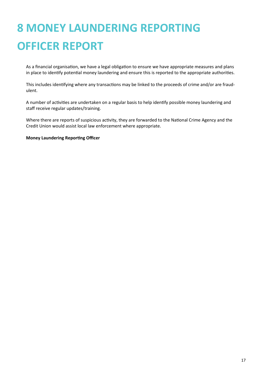# **8 MONEY LAUNDERING REPORTING OFFICER REPORT**

As a financial organisation, we have a legal obligation to ensure we have appropriate measures and plans in place to identify potential money laundering and ensure this is reported to the appropriate authorities.

This includes identifying where any transactions may be linked to the proceeds of crime and/or are fraudulent.

A number of activities are undertaken on a regular basis to help identify possible money laundering and staff receive regular updates/training.

Where there are reports of suspicious activity, they are forwarded to the National Crime Agency and the Credit Union would assist local law enforcement where appropriate.

**Money Laundering Reporting Officer**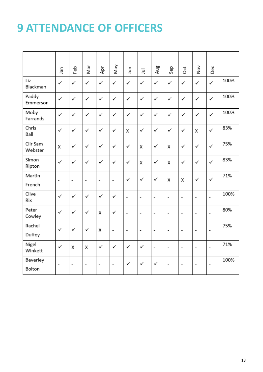### **9 ATTENDANCE OF OFFICERS**

|                     | ٩Ē                       | Feb            | Nar                      | Ąρτ                      | Vay                      | ۵ur            | ョ                        | Aug                      | Sep                      | Ö                        | $\stackrel{\text{ov}}{=}$ | Dec                      |      |
|---------------------|--------------------------|----------------|--------------------------|--------------------------|--------------------------|----------------|--------------------------|--------------------------|--------------------------|--------------------------|---------------------------|--------------------------|------|
| Liz<br>Blackman     | $\checkmark$             | ✓              | ✓                        | ✓                        | ✓                        | ✓              | ✓                        | ✓                        | $\checkmark$             | ✓                        | ✓                         | ✓                        | 100% |
| Paddy<br>Emmerson   | $\checkmark$             | ✓              | ✓                        | ✓                        | ✓                        | ✓              | ✓                        | ✓                        | ✓                        | ✓                        | ✓                         | ✓                        | 100% |
| Moby<br>Farrands    | $\checkmark$             | ✓              | ✓                        | ✓                        | ✓                        | $\checkmark$   | ✓                        | ✓                        | ✓                        | ✓                        | ✓                         | ✓                        | 100% |
| Chris<br>Ball       | ✓                        | ✓              | ✓                        | ✓                        | ✓                        | Χ              | ✓                        | $\checkmark$             | $\checkmark$             | ✓                        | χ                         | ✓                        | 83%  |
| Cllr Sam<br>Webster | χ                        | ✓              | ✓                        | ✓                        | ✓                        | ✓              | X                        | ✓                        | Χ                        | ✓                        | ✓                         | ✓                        | 75%  |
| Simon<br>Ripton     | $\checkmark$             | ✓              | ✓                        | ✓                        | ✓                        | ✓              | Χ                        | $\checkmark$             | Χ                        | ✓                        | ✓                         | ✓                        | 83%  |
| Martin<br>French    | $\overline{\phantom{a}}$ | -              | $\overline{\phantom{a}}$ | $\overline{a}$           | $\overline{\phantom{0}}$ | ✓              | ✓                        | ✓                        | X                        | χ                        | ✓                         | ✓                        | 71%  |
| Clive<br>Rix        | ✓                        | ✓              | ✓                        | $\checkmark$             | ✓                        | $\overline{a}$ | $\overline{\phantom{a}}$ | $\overline{a}$           | $\overline{a}$           | $\overline{\phantom{a}}$ | $\overline{\phantom{a}}$  | $\overline{\phantom{a}}$ | 100% |
| Peter<br>Cowley     | ✓                        | ✓              | ✓                        | х                        | ✓                        | $\overline{a}$ | $\overline{a}$           | $\overline{\phantom{m}}$ | $\overline{a}$           | $\overline{a}$           | $\overline{\phantom{a}}$  | $\overline{\phantom{a}}$ | 80%  |
| Rachel<br>Duffey    | ✓                        | ✓              | ✓                        | х                        | L,                       | $\overline{a}$ | ÷                        | $\overline{a}$           | $\overline{a}$           | $\overline{a}$           | $\overline{\phantom{a}}$  | $\overline{\phantom{a}}$ | 75%  |
| Nigel<br>Winkett    | ✓                        | х              | Χ                        | ✓                        | ✓                        | ✓              | ✓                        | ÷,                       | $\overline{a}$           | $\overline{a}$           | $\overline{\phantom{a}}$  | $\overline{\phantom{a}}$ | 71%  |
| Beverley<br>Bolton  | $\overline{\phantom{0}}$ | $\overline{a}$ | $\overline{\phantom{a}}$ | $\overline{\phantom{0}}$ | $\overline{a}$           | ✓              | ✓                        | $\checkmark$             | $\overline{\phantom{a}}$ | $\overline{\phantom{a}}$ | $\overline{\phantom{a}}$  | $\overline{\phantom{a}}$ | 100% |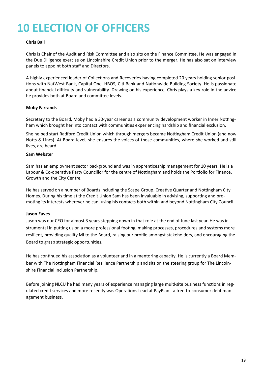# **10 ELECTION OF OFFICERS**

#### **Chris Ball**

Chris is Chair of the Audit and Risk Committee and also sits on the Finance Committee. He was engaged in the Due Diligence exercise on Lincolnshire Credit Union prior to the merger. He has also sat on interview panels to appoint both staff and Directors.

A highly experienced leader of Collections and Recoveries having completed 20 years holding senior positions with NatWest Bank, Capital One, HBOS, Citi Bank and Nationwide Building Society. He is passionate about financial difficulty and vulnerability. Drawing on his experience, Chris plays a key role in the advice he provides both at Board and committee levels.

#### **Moby Farrands**

Secretary to the Board, Moby had a 30-year career as a community development worker in Inner Nottingham which brought her into contact with communities experiencing hardship and financial exclusion.

She helped start Radford Credit Union which through mergers became Nottingham Credit Union (and now Notts & Lincs). At Board level, she ensures the voices of those communities, where she worked and still lives, are heard.

#### **Sam Webster**

Sam has an employment sector background and was in apprenticeship management for 10 years. He is a Labour & Co-operative Party Councillor for the centre of Nottingham and holds the Portfolio for Finance, Growth and the City Centre.

He has served on a number of Boards including the Scape Group, Creative Quarter and Nottingham City Homes. During his time at the Credit Union Sam has been invaluable in advising, supporting and promoting its interests wherever he can, using his contacts both within and beyond Nottingham City Council.

#### **Jason Eaves**

Jason was our CEO for almost 3 years stepping down in that role at the end of June last year. He was instrumental in putting us on a more professional footing, making processes, procedures and systems more resilient, providing quality MI to the Board, raising our profile amongst stakeholders, and encouraging the Board to grasp strategic opportunities.

He has continued his association as a volunteer and in a mentoring capacity. He is currently a Board Member with The Nottingham Financial Resilience Partnership and sits on the steering group for The Lincolnshire Financial Inclusion Partnership.

Before joining NLCU he had many years of experience managing large multi-site business functions in regulated credit services and more recently was Operations Lead at PayPlan - a free-to-consumer debt management business.